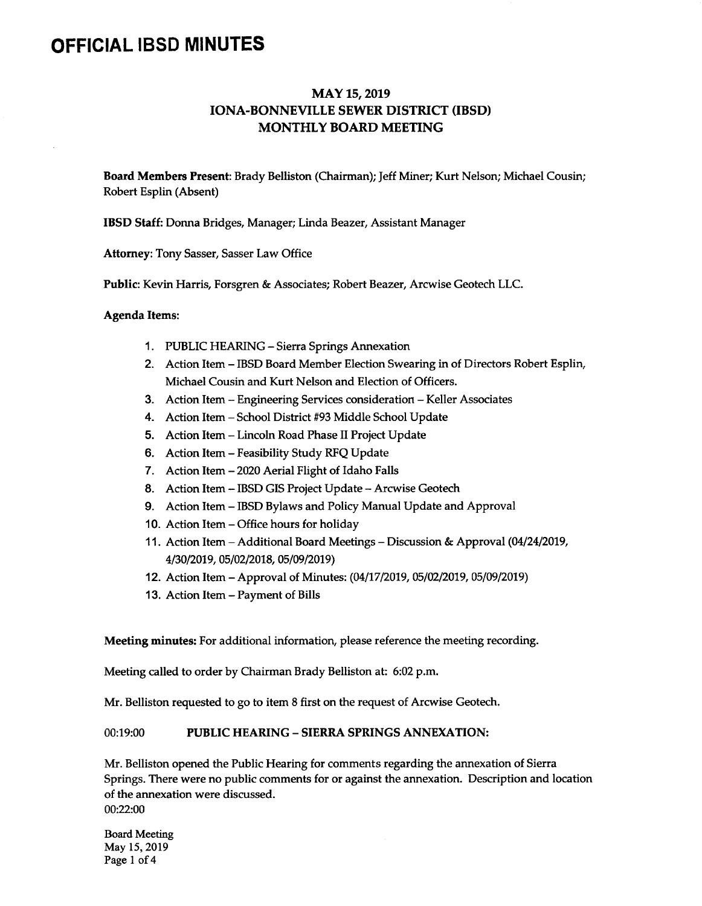# OFFICIAL IBSD MINUTES

# MAY 15, 2019 IONA-BONNEVILLE SEWER DISTRICT (IBSD) MONTHLY BOARD MEETING

Board Members Present: Brady Belliston (Chairman); Jeff Miner; Kurt Nelson; Michael Cousin; Robert Esplin( Absent)

IBSD Staff: Donna Bridges, Manager; Linda Beazer, Assistant Manager

Attorney: Tony Sasser, Sasser Law Office

Public: Kevin Harris, Forsgren & Associates; Robert Beazer, Arcwise Geotech LLC.

#### Agenda Items:

- 1. PUBLIC HEARING- Sierra Springs Annexation
- 2. Action Item- IBSD Board Member Election Swearing in of Directors Robert Esplin, Michael Cousin and Kurt Nelson and Election of Officers.
- 3. Action Item- Engineering Services consideration- Keller Associates
- 4. Action Item School District #93 Middle School Update
- 5. Action Item- Lincoln Road Phase II Project Update
- 6. Action Item- Feasibility Study RFQ Update
- 7. Action Item- 2020 Aerial Flight of Idaho Falls
- 8. Action Item IBSD GIS Project Update Arcwise Geotech
- 9. Action Item- IBSD Bylaws and Policy Manual Update and Approval
- 10. Action Item- Office hours for holiday
- 11. Action Item- Additional Board Meetings- Discussion& Approval( 04/24/2019, 4/30/2019, 05/02/2018, 05/09/2019)
- 12. Action Item Approval of Minutes: (04/17/2019, 05/02/2019, 05/09/2019)
- 13. Action Item- Payment of Bills

Meeting minutes: For additional information, please reference the meeting recording.

Meeting called to order by Chairman Brady Belliston at: 6:02 p.m.

Mr. Belliston requested to go to item 8 first on the request of Arcwise Geotech.

## 00:19:00 PUBLIC HEARING - SIERRA SPRINGS ANNEXATION:

Mr. Belliston opened the Public Hearing for comments regarding the annexation of Sierra Springs. There were no public comments for or against the annexation. Description and location of the annexation were discussed. 00:22:00

Board Meeting May 15, 2019 Page 1 of 4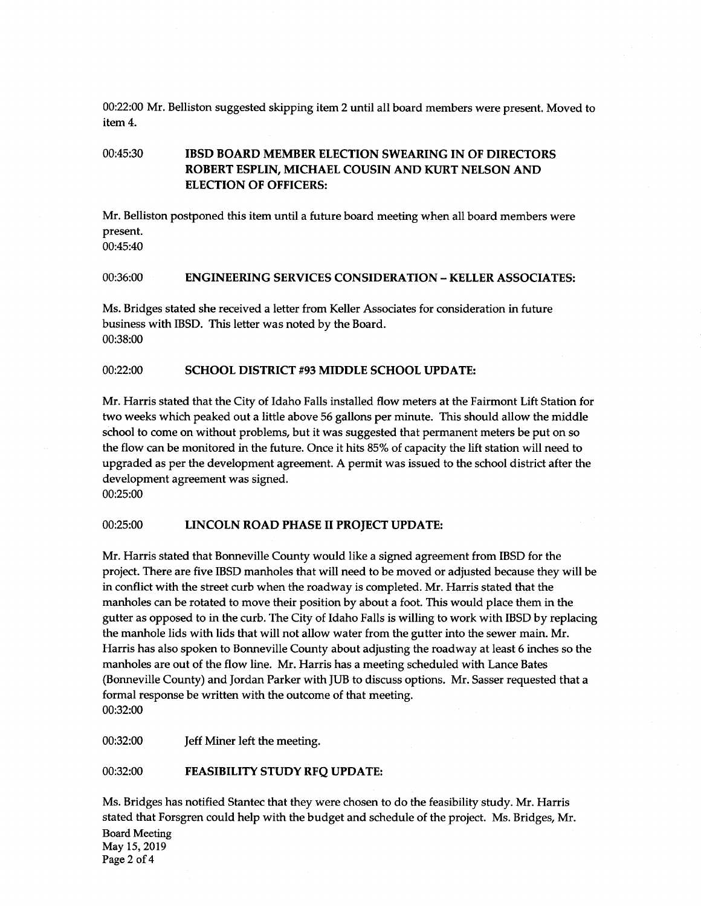00:22:00 Mr. Belliston suggested skipping item 2 until all board members were present. Moved to item 4.

# 00:45:30 IBSD BOARD MEMBER ELECTION SWEARING IN OF DIRECTORS ROBERT ESPLIN, MICHAEL COUSIN AND KURT NELSON AND ELECTION OF OFFICERS:

Mr. Belliston postponed this item until <sup>a</sup> future board meeting when all board members were present.

00:45:40

#### 00:36:00 ENGINEERING SERVICES CONSIDERATION—KELLER ASSOCIATES:

Ms. Bridges stated she received a letter from Keller Associates for consideration in future business with IBSD. This letter was noted by the Board. 00:38:00

#### 00:22:00 SCHOOL DISTRICT #93 MIDDLE SCHOOL UPDATE:

Mr. Harris stated that the City of Idaho Falls installed flow meters at the Fairmont Lift Station for two weeks which peaked out a little above 56 gallons per minute. This should allow the middle school to come on without problems, but it was suggested that permanent meters be put on so the flow can be monitored in the future. Once it hits 85% of capacity the lift station will need to upgraded as per the development agreement. A permit was issued to the school district after the development agreement was signed.

00:25:00

## 00:25:00 LINCOLN ROAD PHASE II PROJECT UPDATE:

Mr. Harris stated that Bonneville County would like a signed agreement from IBSD for the project. There are five IBSD manholes that will need to be moved or adjusted because they will be in conflict with the street curb when the roadway is completed. Mr. Harris stated that the manholes can be rotated to move their position by about a foot. This would place them in the gutter as opposed to in the curb. The City of Idaho Falls is willing to work with IBSD by replacing the manhole lids with lids that will not allow water from the gutter into the sewer main. Mr. Harris has also spoken to Bonneville County about adjusting the roadway at least 6 inches so the manholes are out of the flow line. Mr. Harris has <sup>a</sup> meeting scheduled with Lance Bates (Bonneville County) and Jordan Parker with JUB to discuss options. Mr. Sasser requested that a formal response be written with the outcome of that meeting. 00:32:00

00:32:00 Jeff Miner left the meeting.

#### 00:32:00 FEASIBILITY STUDY RFQ UPDATE:

Ms. Bridges has notified Stantec that they were chosen to do the feasibility study. Mr. Harris stated that Forsgren could help with the budget and schedule of the project. Ms. Bridges, Mr. Board Meeting May 15, 2019 Page 2 of 4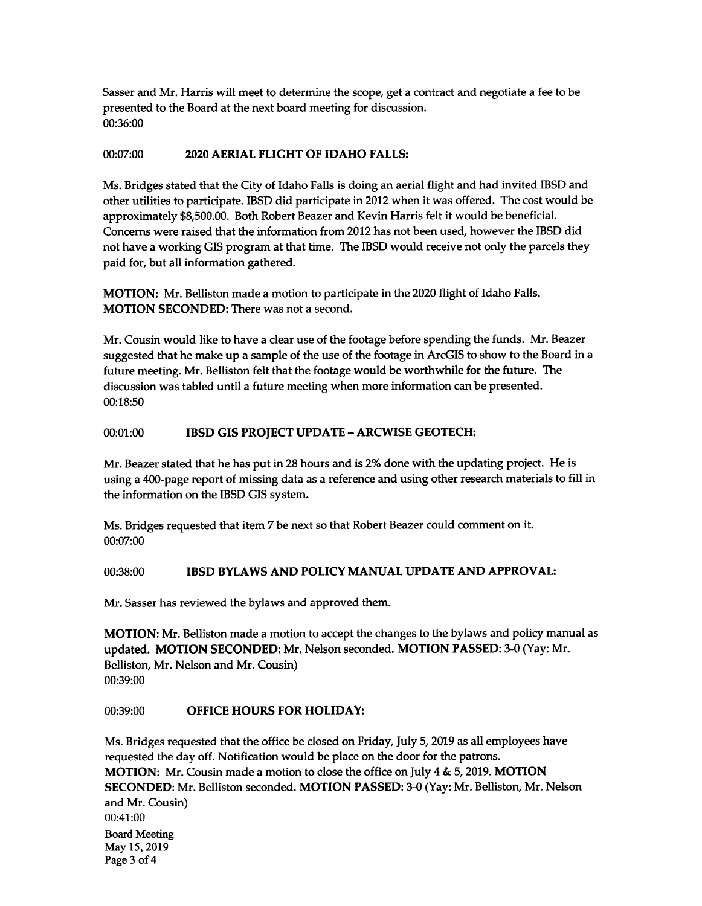Sasser and Mr. Harris will meet to determine the scope, get <sup>a</sup> contract and negotiate <sup>a</sup> fee to be presented to the Board at the next board meeting for discussion. 00:36:00

## 00:07:00 2020 AERIAL FLIGHT OF IDAHO FALLS:

Ms. Bridges stated that the City of Idaho Falls is doing an aerial flight and had invited IBSD and other utilities to participate. IBSD did participate in 2012 when it was offered. The cost would be approximately\$ 8,500.00. Both Robert Beazer and Kevin Harris felt it would be beneficial. Concerns were raised that the information from 2012 has not been used, however the IBSD did not have a working GIS program at that time. The IBSD would receive not only the parcels they paid for, but all information gathered.

MOTION: Mr. Belliston made a motion to participate in the 2020 flight of Idaho Falls. MOTION SECONDED: There was not a second.

Mr. Cousin would like to have a clear use of the footage before spending the funds. Mr. Beazer suggested that he make up a sample of the use of the footage in ArcGIS to show to the Board in a future meeting. Mr. Belliston felt that the footage would be worthwhile for the future. The discussion was tabled until a future meeting when more information can be presented. 00:18:50

## 00:01:00 IBSD GIS PROJECT UPDATE - ARCWISE GEOTECH:

Mr. Beazer stated that he has put in <sup>28</sup> hours and is 2% done with the updating project. He is using <sup>a</sup> 400-page report of missing data as <sup>a</sup> reference and using other research materials to fill in the information on the IBSD GIS system.

Ms. Bridges requested that item 7 be next so that Robert Beazer could comment on it. 00:07:00

## 00:38:00 IBSD BYLAWS AND POLICY MANUAL UPDATE AND APPROVAL:

Mr. Sasser has reviewed the bylaws and approved them.

MOTION: Mr. Belliston made <sup>a</sup> motion to accept the changes to the bylaws and policy manual as updated. MOTION SECONDED: Mr. Nelson seconded. MOTION PASSED: 3-0 (Yay: Mr. Belliston, Mr. Nelson and Mr. Cousin) 00:39:00

## 00:39:00 OFFICE HOURS FOR HOLIDAY:

Ms. Bridges requested that the office be closed on Friday, July 5, 2019 as all employees have requested the day off. Notification would be place on the door for the patrons. MOTION: Mr. Cousin made <sup>a</sup> motion to close the office on July 4& 5, 2019. MOTION SECONDED: Mr. Belliston seconded. MOTION PASSED: 3-0( Yay: Mr. Belliston, Mr. Nelson and Mr. Cousin) 00:41: 00 Board Meeting May 15, 2019 Page 3 of 4